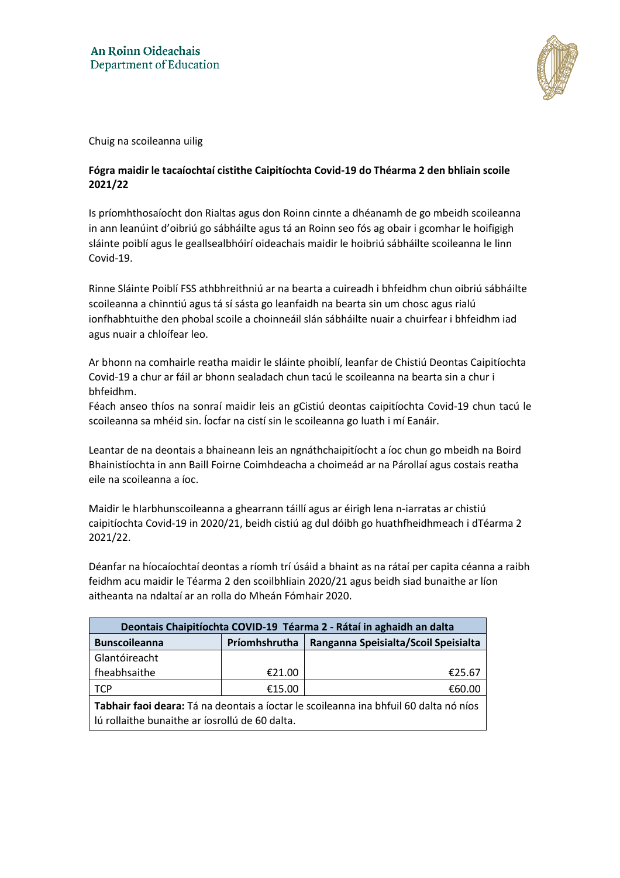

Chuig na scoileanna uilig

## **Fógra maidir le tacaíochtaí cistithe Caipitíochta Covid-19 do Théarma 2 den bhliain scoile 2021/22**

Is príomhthosaíocht don Rialtas agus don Roinn cinnte a dhéanamh de go mbeidh scoileanna in ann leanúint d'oibriú go sábháilte agus tá an Roinn seo fós ag obair i gcomhar le hoifigigh sláinte poiblí agus le geallsealbhóirí oideachais maidir le hoibriú sábháilte scoileanna le linn Covid-19.

Rinne Sláinte Poiblí FSS athbhreithniú ar na bearta a cuireadh i bhfeidhm chun oibriú sábháilte scoileanna a chinntiú agus tá sí sásta go leanfaidh na bearta sin um chosc agus rialú ionfhabhtuithe den phobal scoile a choinneáil slán sábháilte nuair a chuirfear i bhfeidhm iad agus nuair a chloífear leo.

Ar bhonn na comhairle reatha maidir le sláinte phoiblí, leanfar de Chistiú Deontas Caipitíochta Covid-19 a chur ar fáil ar bhonn sealadach chun tacú le scoileanna na bearta sin a chur i bhfeidhm.

Féach anseo thíos na sonraí maidir leis an gCistiú deontas caipitíochta Covid-19 chun tacú le scoileanna sa mhéid sin. Íocfar na cistí sin le scoileanna go luath i mí Eanáir.

Leantar de na deontais a bhaineann leis an ngnáthchaipitíocht a íoc chun go mbeidh na Boird Bhainistíochta in ann Baill Foirne Coimhdeacha a choimeád ar na Párollaí agus costais reatha eile na scoileanna a íoc.

Maidir le hIarbhunscoileanna a ghearrann táillí agus ar éirigh lena n-iarratas ar chistiú caipitíochta Covid-19 in 2020/21, beidh cistiú ag dul dóibh go huathfheidhmeach i dTéarma 2 2021/22.

Déanfar na híocaíochtaí deontas a ríomh trí úsáid a bhaint as na rátaí per capita céanna a raibh feidhm acu maidir le Téarma 2 den scoilbhliain 2020/21 agus beidh siad bunaithe ar líon aitheanta na ndaltaí ar an rolla do Mheán Fómhair 2020.

| Deontais Chaipitíochta COVID-19 Téarma 2 - Rátaí in aghaidh an dalta                  |               |                                      |  |  |  |
|---------------------------------------------------------------------------------------|---------------|--------------------------------------|--|--|--|
| <b>Bunscoileanna</b>                                                                  | Príomhshrutha | Ranganna Speisialta/Scoil Speisialta |  |  |  |
| Glantóireacht                                                                         |               |                                      |  |  |  |
| fheabhsaithe                                                                          | €21.00        | €25.67                               |  |  |  |
| <b>TCP</b>                                                                            | €15.00        | €60.00                               |  |  |  |
| Tabhair faoi deara: Tá na deontais a íoctar le scoileanna ina bhfuil 60 dalta nó níos |               |                                      |  |  |  |
| lú rollaithe bunaithe ar íosrollú de 60 dalta.                                        |               |                                      |  |  |  |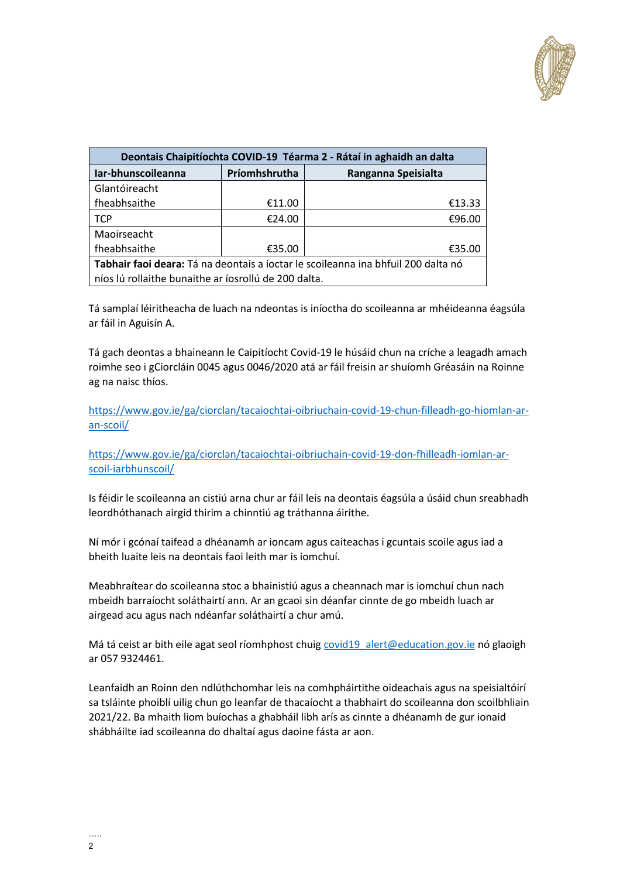

| Deontais Chaipitíochta COVID-19 Téarma 2 - Rátaí in aghaidh an dalta              |               |                     |  |  |
|-----------------------------------------------------------------------------------|---------------|---------------------|--|--|
| Iar-bhunscoileanna                                                                | Príomhshrutha | Ranganna Speisialta |  |  |
| Glantóireacht                                                                     |               |                     |  |  |
| fheabhsaithe                                                                      | €11.00        | €13.33              |  |  |
| <b>TCP</b>                                                                        | €24.00        | €96.00              |  |  |
| Maoirseacht                                                                       |               |                     |  |  |
| fheabhsaithe                                                                      | €35.00        | €35.00              |  |  |
| Tabhair faoi deara: Tá na deontais a íoctar le scoileanna ina bhfuil 200 dalta nó |               |                     |  |  |
| níos lú rollaithe bunaithe ar íosrollú de 200 dalta.                              |               |                     |  |  |

Tá samplaí léiritheacha de luach na ndeontas is iníoctha do scoileanna ar mhéideanna éagsúla ar fáil in Aguisín A.

Tá gach deontas a bhaineann le Caipitíocht Covid-19 le húsáid chun na críche a leagadh amach roimhe seo i gCiorcláin 0045 agus 0046/2020 atá ar fáil freisin ar shuíomh Gréasáin na Roinne ag na naisc thíos.

[https://www.gov.ie/ga/ciorclan/tacaiochtai-oibriuchain-covid-19-chun-filleadh-go-hiomlan-ar](https://www.gov.ie/ga/ciorclan/tacaiochtai-oibriuchain-covid-19-chun-filleadh-go-hiomlan-ar-an-scoil/)[an-scoil/](https://www.gov.ie/ga/ciorclan/tacaiochtai-oibriuchain-covid-19-chun-filleadh-go-hiomlan-ar-an-scoil/)

[https://www.gov.ie/ga/ciorclan/tacaiochtai-oibriuchain-covid-19-don-fhilleadh-iomlan-ar](https://www.gov.ie/ga/ciorclan/tacaiochtai-oibriuchain-covid-19-don-fhilleadh-iomlan-ar-scoil-iarbhunscoil/)[scoil-iarbhunscoil/](https://www.gov.ie/ga/ciorclan/tacaiochtai-oibriuchain-covid-19-don-fhilleadh-iomlan-ar-scoil-iarbhunscoil/)

Is féidir le scoileanna an cistiú arna chur ar fáil leis na deontais éagsúla a úsáid chun sreabhadh leordhóthanach airgid thirim a chinntiú ag tráthanna áirithe.

Ní mór i gcónaí taifead a dhéanamh ar ioncam agus caiteachas i gcuntais scoile agus iad a bheith luaite leis na deontais faoi leith mar is iomchuí.

Meabhraítear do scoileanna stoc a bhainistiú agus a cheannach mar is iomchuí chun nach mbeidh barraíocht soláthairtí ann. Ar an gcaoi sin déanfar cinnte de go mbeidh luach ar airgead acu agus nach ndéanfar soláthairtí a chur amú.

Má tá ceist ar bith eile agat seol ríomhphost chuig covid19 alert@education.gov.ie nó glaoigh ar 057 9324461.

Leanfaidh an Roinn den ndlúthchomhar leis na comhpháirtithe oideachais agus na speisialtóirí sa tsláinte phoiblí uilig chun go leanfar de thacaíocht a thabhairt do scoileanna don scoilbhliain 2021/22. Ba mhaith liom buíochas a ghabháil libh arís as cinnte a dhéanamh de gur ionaid shábháilte iad scoileanna do dhaltaí agus daoine fásta ar aon.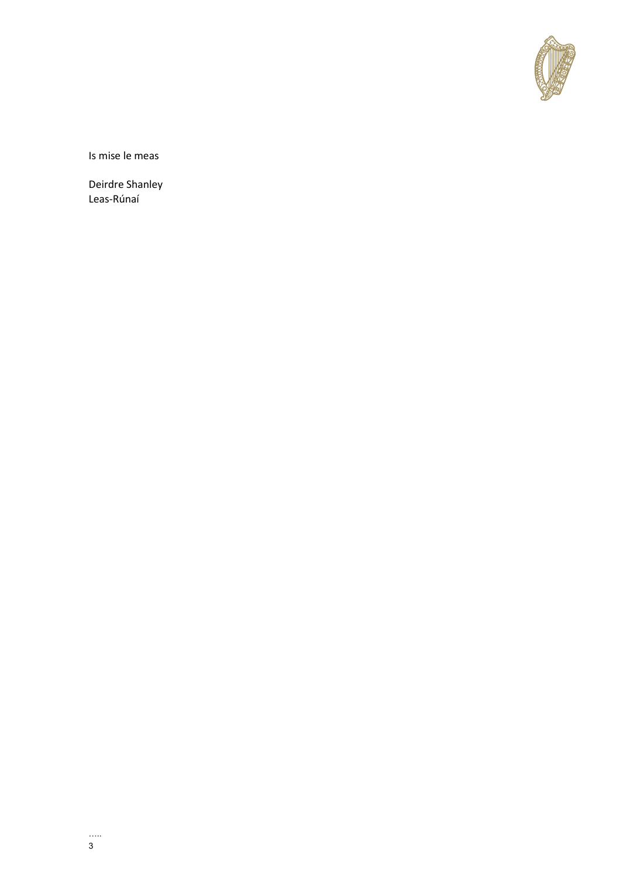

Is mise le meas

Deirdre Shanley Leas-Rúnaí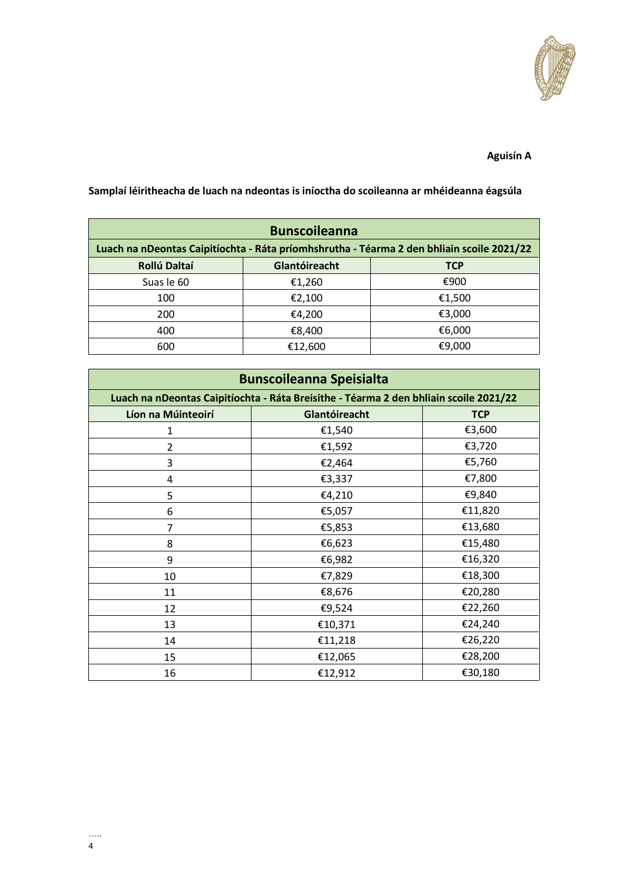

## **Aguisín A**

| <b>Bunscoileanna</b>                                                                      |               |            |  |  |
|-------------------------------------------------------------------------------------------|---------------|------------|--|--|
| Luach na nDeontas Caipitíochta - Ráta príomhshrutha - Téarma 2 den bhliain scoile 2021/22 |               |            |  |  |
| Rollú Daltaí                                                                              | Glantóireacht | <b>TCP</b> |  |  |
| Suas le 60                                                                                | €1,260        | €900       |  |  |
| 100                                                                                       | €2,100        | €1,500     |  |  |
| 200                                                                                       | €4,200        | €3,000     |  |  |
| 400                                                                                       | €8,400        | €6,000     |  |  |
| 600                                                                                       | €12,600       | €9,000     |  |  |

**Samplaí léiritheacha de luach na ndeontas is iníoctha do scoileanna ar mhéideanna éagsúla**

| <b>Bunscoileanna Speisialta</b>                                                       |               |            |  |  |  |
|---------------------------------------------------------------------------------------|---------------|------------|--|--|--|
| Luach na nDeontas Caipitíochta - Ráta Breisithe - Téarma 2 den bhliain scoile 2021/22 |               |            |  |  |  |
| Líon na Múinteoirí                                                                    | Glantóireacht | <b>TCP</b> |  |  |  |
| 1                                                                                     | €1,540        | €3,600     |  |  |  |
| $\overline{2}$                                                                        | €1,592        | €3,720     |  |  |  |
| 3                                                                                     | €2,464        | €5,760     |  |  |  |
| 4                                                                                     | €3,337        | €7,800     |  |  |  |
| 5                                                                                     | €4,210        | €9,840     |  |  |  |
| 6                                                                                     | €5,057        | €11,820    |  |  |  |
| 7                                                                                     | €5,853        | €13,680    |  |  |  |
| 8                                                                                     | €6,623        | €15,480    |  |  |  |
| 9                                                                                     | €6,982        | €16,320    |  |  |  |
| 10                                                                                    | €7,829        | €18,300    |  |  |  |
| 11                                                                                    | €8,676        | €20,280    |  |  |  |
| 12                                                                                    | €9,524        | €22,260    |  |  |  |
| 13                                                                                    | €10,371       | €24,240    |  |  |  |
| 14                                                                                    | €11,218       | €26,220    |  |  |  |
| 15                                                                                    | €12,065       | €28,200    |  |  |  |
| 16                                                                                    | €12,912       | €30,180    |  |  |  |